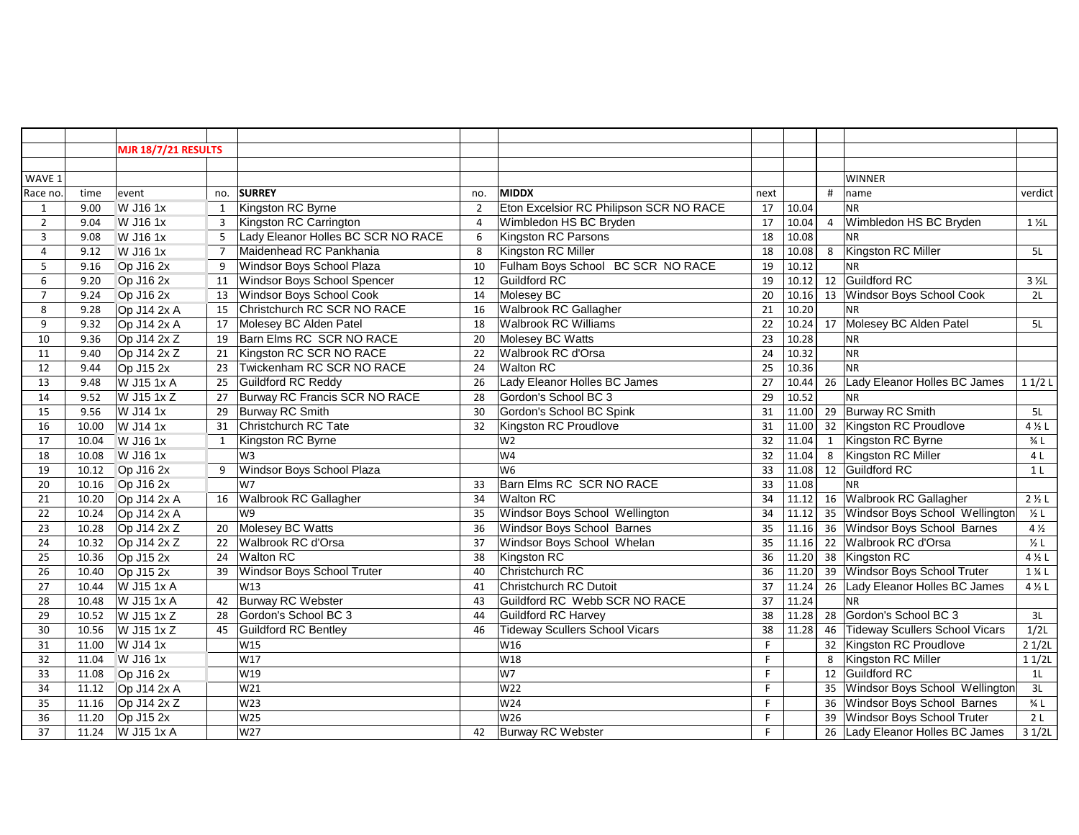|                |       | <b>MJR 18/7/21 RESULTS</b> |                 |                                    |                 |                                         |      |       |                |                                       |                   |
|----------------|-------|----------------------------|-----------------|------------------------------------|-----------------|-----------------------------------------|------|-------|----------------|---------------------------------------|-------------------|
|                |       |                            |                 |                                    |                 |                                         |      |       |                |                                       |                   |
| WAVE 1         |       |                            |                 |                                    |                 |                                         |      |       |                | <b>WINNER</b>                         |                   |
| Race no        | time  | event                      |                 | no. SURREY                         | no.             | <b>MIDDX</b>                            | next |       | #              | name                                  | verdict           |
| $\mathbf{1}$   | 9.00  | W J16 1x                   | $\mathbf{1}$    | Kingston RC Byrne                  | $\overline{2}$  | Eton Excelsior RC Philipson SCR NO RACE | 17   | 10.04 |                | <b>NR</b>                             |                   |
| $\overline{2}$ | 9.04  | W J16 1x                   | 3               | Kingston RC Carrington             | 4               | Wimbledon HS BC Bryden                  | 17   | 10.04 | $\overline{4}$ | Wimbledon HS BC Bryden                | $1\frac{1}{2}$    |
| 3              | 9.08  | W J16 1x                   | $\overline{5}$  | Lady Eleanor Holles BC SCR NO RACE | 6               | <b>Kingston RC Parsons</b>              | 18   | 10.08 |                | <b>NR</b>                             |                   |
| $\overline{4}$ | 9.12  | W J16 1x                   | $\overline{7}$  | Maidenhead RC Pankhania            | 8               | Kingston RC Miller                      | 18   | 10.08 | 8              | Kingston RC Miller                    | 5L                |
| 5              | 9.16  | Op J16 2x                  | 9               | Windsor Boys School Plaza          | 10              | Fulham Boys School BC SCR NO RACE       | 19   | 10.12 |                | <b>NR</b>                             |                   |
| 6              | 9.20  | Op J16 2x                  | 11              | Windsor Boys School Spencer        | $\overline{12}$ | Guildford RC                            | 19   |       |                | 10.12 12 Guildford RC                 | $3 \frac{1}{2} L$ |
| $\overline{7}$ | 9.24  | Op J16 2x                  | 13              | Windsor Boys School Cook           | 14              | Molesey BC                              | 20   | 10.16 |                | 13 Windsor Boys School Cook           | 2L                |
| 8              | 9.28  | Op J14 2x A                | $\overline{15}$ | Christchurch RC SCR NO RACE        | 16              | <b>Walbrook RC Gallagher</b>            | 21   | 10.20 |                | <b>NR</b>                             |                   |
| 9              | 9.32  | Op J14 2x A                | 17              | Molesey BC Alden Patel             | 18              | <b>Walbrook RC Williams</b>             | 22   | 10.24 | 17             | Molesey BC Alden Patel                | 5L                |
| 10             | 9.36  | Op $J14 2x Z$              | 19              | Barn Elms RC SCR NO RACE           | 20              | Molesey BC Watts                        | 23   | 10.28 |                | NR                                    |                   |
| 11             | 9.40  | Op J14 2x Z                | 21              | Kingston RC SCR NO RACE            | 22              | Walbrook RC d'Orsa                      | 24   | 10.32 |                | N <sub>R</sub>                        |                   |
| 12             | 9.44  | $Op$ J15 2x                | $\overline{23}$ | Twickenham RC SCR NO RACE          | 24              | <b>Walton RC</b>                        | 25   | 10.36 |                | <b>NR</b>                             |                   |
| 13             | 9.48  | W J15 1x A                 | 25              | Guildford RC Reddy                 | 26              | Lady Eleanor Holles BC James            | 27   | 10.44 | 26             | Lady Eleanor Holles BC James          | 11/2L             |
| 14             | 9.52  | W J15 1x Z                 | 27              | Burway RC Francis SCR NO RACE      | 28              | Gordon's School BC 3                    | 29   | 10.52 |                | INR.                                  |                   |
| 15             | 9.56  | W J14 1x                   | 29              | Burway RC Smith                    | 30              | Gordon's School BC Spink                | 31   | 11.00 |                | 29 Burway RC Smith                    | 5L                |
| 16             | 10.00 | W J14 1x                   | 31              | Christchurch RC Tate               | 32              | <b>Kingston RC Proudlove</b>            | 31   | 11.00 |                | 32 Kingston RC Proudlove              | $4\frac{1}{2}$ L  |
| 17             | 10.04 | W J16 1x                   | 1               | Kingston RC Byrne                  |                 | W2                                      | 32   | 11.04 | 1              | Kingston RC Byrne                     | $\frac{3}{4}$ L   |
| 18             | 10.08 | W J16 1x                   |                 | W <sub>3</sub>                     |                 | W <sub>4</sub>                          | 32   | 11.04 | 8              | Kingston RC Miller                    | 4 L               |
| 19             | 10.12 | Op J16 2x                  | 9               | Windsor Boys School Plaza          |                 | W <sub>6</sub>                          | 33   | 11.08 |                | 12 Guildford RC                       | 1 <sup>L</sup>    |
| 20             | 10.16 | Op J16 2x                  |                 | W <sub>7</sub>                     | 33              | <b>Barn Elms RC SCR NO RACE</b>         | 33   | 11.08 |                | NR.                                   |                   |
| 21             | 10.20 | Op J14 2x A                | 16              | <b>Walbrook RC Gallagher</b>       | 34              | Walton RC                               | 34   | 11.12 |                | 16 Walbrook RC Gallagher              | $2 \frac{1}{2}$ L |
| 22             | 10.24 | Op $J14$ 2x A              |                 | W <sub>9</sub>                     | 35              | Windsor Boys School Wellington          | 34   | 11.12 |                | 35 Windsor Boys School Wellington     | $\frac{1}{2}$ L   |
| 23             | 10.28 | Op $J14$ 2x Z              | 20              | Molesey BC Watts                   | 36              | Windsor Boys School Barnes              | 35   | 11.16 |                | 36 Windsor Boys School Barnes         | $4\frac{1}{2}$    |
| 24             | 10.32 | Op $J14$ 2x Z              | 22              | Walbrook RC d'Orsa                 | 37              | Windsor Boys School Whelan              | 35   | 11.16 |                | 22 Walbrook RC d'Orsa                 | $\frac{1}{2}L$    |
| 25             | 10.36 | Op $J152x$                 | 24              | <b>Walton RC</b>                   | 38              | Kingston RC                             | 36   | 11.20 |                | 38 Kingston RC                        | $4\frac{1}{2}$ L  |
| 26             | 10.40 | $\overline{OP}$ J15 2x     | 39              | Windsor Boys School Truter         | 40              | Christchurch RC                         | 36   | 11.20 |                | 39 Windsor Boys School Truter         | $1\frac{1}{4}$ L  |
| 27             | 10.44 | W J15 1x A                 |                 | W <sub>13</sub>                    | 41              | Christchurch RC Dutoit                  | 37   | 11.24 |                | 26 Lady Eleanor Holles BC James       | $4\frac{1}{2}$ L  |
| 28             | 10.48 | W J15 1x A                 | 42              | Burway RC Webster                  | 43              | Guildford RC Webb SCR NO RACE           | 37   | 11.24 |                | NR.                                   |                   |
| 29             | 10.52 | W J15 1x Z                 | 28              | Gordon's School BC 3               | 44              | <b>Guildford RC Harvey</b>              | 38   | 11.28 | 28             | Gordon's School BC 3                  | 3L                |
| 30             | 10.56 | W J15 1x Z                 | 45              | Guildford RC Bentley               | 46              | <b>Tideway Scullers School Vicars</b>   | 38   | 11.28 | 46             | <b>Tideway Scullers School Vicars</b> | 1/2L              |
| 31             | 11.00 | W J14 1x                   |                 | W15                                |                 | W16                                     | F.   |       | 32             | Kingston RC Proudlove                 | 21/2L             |
| 32             | 11.04 | W J16 1x                   |                 | W17                                |                 | W18                                     | F    |       | 8              | Kingston RC Miller                    | 11/2L             |
| 33             | 11.08 | Op J16 2x                  |                 | W19                                |                 | W7                                      | F.   |       | 12             | Guildford RC                          | 1 <sub>L</sub>    |
| 34             | 11.12 | Op $J14$ 2x A              |                 | W21                                |                 | W22                                     | F.   |       | 35             | Windsor Boys School Wellington        | 3L                |
| 35             | 11.16 | Op J14 $2xZ$               |                 | W <sub>23</sub>                    |                 | W24                                     | F.   |       | 36             | Windsor Boys School Barnes            | $\frac{3}{4}$ L   |
| 36             | 11.20 | $\overline{OP}$ J15 2x     |                 | <b>W25</b>                         |                 | W26                                     | F    |       | 39             | Windsor Boys School Truter            | 2 <sub>L</sub>    |
| 37             | 11.24 | W J15 1x A                 |                 | W27                                | 42              | <b>Burway RC Webster</b>                | F.   |       |                | 26 Lady Eleanor Holles BC James       | 31/2L             |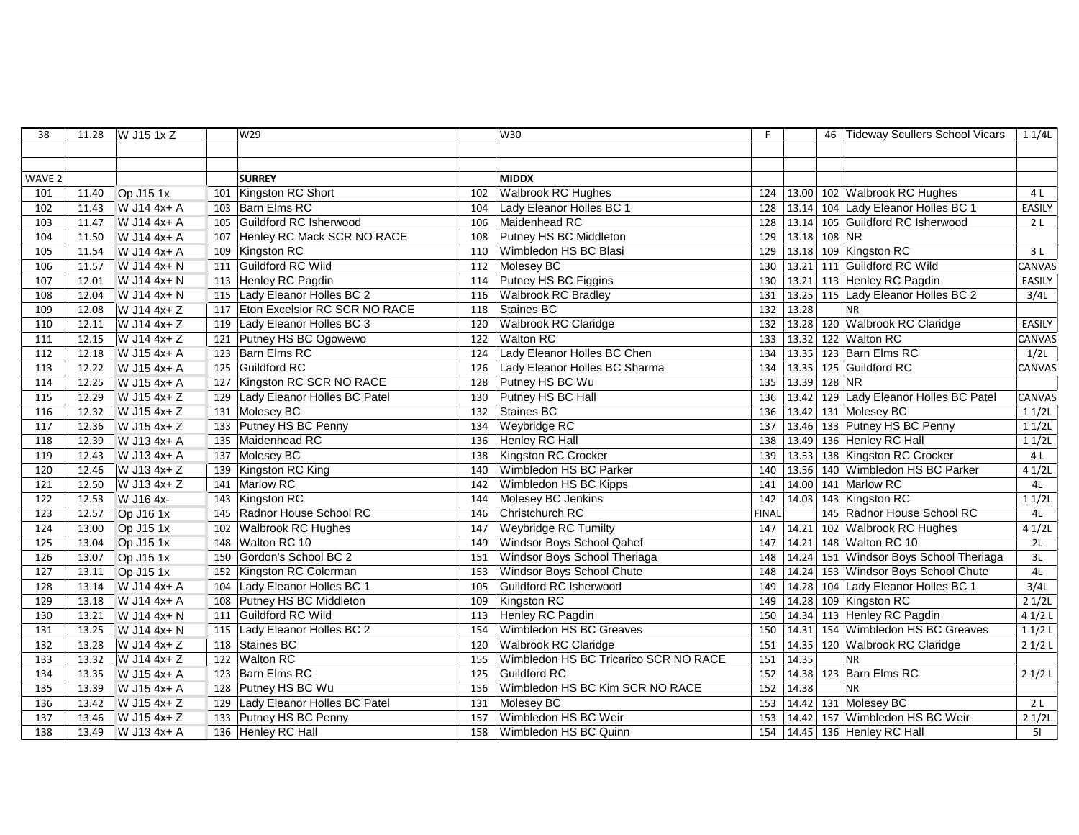| 38                | 11.28 | W J15 1x Z  |     | W29                               |     | W30                                   | F            |              |          | 46 Tideway Scullers School Vicars      | 11/4L         |
|-------------------|-------|-------------|-----|-----------------------------------|-----|---------------------------------------|--------------|--------------|----------|----------------------------------------|---------------|
|                   |       |             |     |                                   |     |                                       |              |              |          |                                        |               |
|                   |       |             |     |                                   |     |                                       |              |              |          |                                        |               |
| WAVE <sub>2</sub> |       |             |     | <b>SURREY</b>                     |     | <b>MIDDX</b>                          |              |              |          |                                        |               |
| 101               | 11.40 | Op J15 1x   |     | 101 Kingston RC Short             | 102 | <b>Walbrook RC Hughes</b>             |              |              |          | 124   13.00   102   Walbrook RC Hughes | 4 L           |
| 102               | 11.43 | W J14 4x+ A |     | 103 Barn Elms RC                  | 104 | Lady Eleanor Holles BC 1              | 128          |              |          | 13.14 104 Lady Eleanor Holles BC 1     | EASILY        |
| 103               | 11.47 | W J14 4x+ A |     | 105 Guildford RC Isherwood        | 106 | Maidenhead RC                         | 128          |              |          | 13.14 105 Guildford RC Isherwood       | 2L            |
| 104               | 11.50 | W J14 4x+ A | 107 | Henley RC Mack SCR NO RACE        | 108 | Putney HS BC Middleton                | 129          | 13.18        | $108$ NR |                                        |               |
| 105               | 11.54 | W J14 4x+ A |     | $\overline{109}$ Kingston RC      | 110 | Wimbledon HS BC Blasi                 | 129          |              |          | 13.18 109 Kingston RC                  | 3L            |
| 106               | 11.57 | W J14 4x+ N |     | 111 Guildford RC Wild             | 112 | Molesey BC                            | 130          |              |          | 13.21 111 Guildford RC Wild            | CANVAS        |
| 107               | 12.01 | W J14 4x+ N |     | 113 Henley RC Pagdin              | 114 | Putney HS BC Figgins                  | 130          |              |          | 13.21 113 Henley RC Pagdin             | EASILY        |
| 108               | 12.04 | W J14 4x+ N |     | 115 Lady Eleanor Holles BC 2      | 116 | <b>Walbrook RC Bradley</b>            | 131          | 13.25        |          | 115 Lady Eleanor Holles BC 2           | 3/4L          |
| 109               | 12.08 | W J14 4x+ Z |     | 117 Eton Excelsior RC SCR NO RACE | 118 | Staines BC                            | 132          | 13.28        |          | <b>NR</b>                              |               |
| 110               | 12.11 | W J14 4x+ Z |     | 119 Lady Eleanor Holles BC 3      | 120 | <b>Walbrook RC Claridge</b>           | 132          |              |          | 13.28 120 Walbrook RC Claridge         | <b>EASILY</b> |
| 111               | 12.15 | W J14 4x+ Z |     | 121 Putney HS BC Ogowewo          | 122 | <b>Walton RC</b>                      | 133          |              |          | 13.32 122 Walton RC                    | CANVAS        |
| 112               | 12.18 | W J15 4x+ A |     | 123 Barn Elms RC                  | 124 | Lady Eleanor Holles BC Chen           | 134          |              |          | 13.35 123 Barn Elms RC                 | 1/2L          |
| 113               | 12.22 | W J15 4x+ A |     | 125 Guildford RC                  | 126 | Lady Eleanor Holles BC Sharma         | 134          | 13.35        |          | 125 Guildford RC                       | CANVAS        |
| 114               | 12.25 | W J15 4x+ A |     | 127 Kingston RC SCR NO RACE       | 128 | Putney HS BC Wu                       | 135          | 13.39 128 NR |          |                                        |               |
| 115               | 12.29 | W J15 4x+ Z |     | 129 Lady Eleanor Holles BC Patel  | 130 | Putney HS BC Hall                     | 136          |              |          | 13.42 129 Lady Eleanor Holles BC Patel | CANVAS        |
| 116               | 12.32 | W J15 4x+ Z |     | 131 Molesey BC                    | 132 | Staines BC                            | 136          |              |          | 13.42 131 Molesey BC                   | 11/2L         |
| 117               | 12.36 | W J15 4x+ Z |     | 133 Putney HS BC Penny            | 134 | <b>Weybridge RC</b>                   | 137          |              |          | 13.46 133 Putney HS BC Penny           | 11/2L         |
| 118               | 12.39 | W J13 4x+ A |     | 135 Maidenhead RC                 | 136 | <b>Henley RC Hall</b>                 | 138          |              |          | 13.49 136 Henley RC Hall               | 11/2L         |
| 119               | 12.43 | W J13 4x+ A |     | 137 Molesey BC                    | 138 | Kingston RC Crocker                   | 139          |              |          | 13.53 138 Kingston RC Crocker          | 4 L           |
| 120               | 12.46 | W J13 4x+ Z |     | 139 Kingston RC King              | 140 | Wimbledon HS BC Parker                | 140          |              |          | 13.56 140 Wimbledon HS BC Parker       | 41/2L         |
| 121               | 12.50 | W J13 4x+ Z |     | 141 Marlow RC                     | 142 | Wimbledon HS BC Kipps                 | 141          |              |          | 14.00 141 Marlow RC                    | 4L            |
| 122               | 12.53 | W J16 4x-   |     | 143 Kingston RC                   | 144 | Molesey BC Jenkins                    | 142          | 14.03        |          | 143 Kingston RC                        | 11/2L         |
| 123               | 12.57 | Op J16 1x   |     | 145 Radnor House School RC        | 146 | Christchurch RC                       | <b>FINAL</b> |              |          | 145 Radnor House School RC             | 4L            |
| 124               | 13.00 | Op J15 1x   |     | 102 Walbrook RC Hughes            | 147 | Weybridge RC Tumilty                  | 147          |              |          | 14.21 102 Walbrook RC Hughes           | 41/2L         |
| 125               | 13.04 | Op J15 1x   |     | 148 Walton RC 10                  | 149 | Windsor Boys School Qahef             | 147          |              |          | 14.21 148 Walton RC 10                 | 2L            |
| 126               | 13.07 | Op J15 1x   |     | 150 Gordon's School BC 2          | 151 | Windsor Boys School Theriaga          | 148          |              |          | 14.24 151 Windsor Boys School Theriaga | 3L            |
| 127               | 13.11 | Op J15 1x   |     | 152 Kingston RC Colerman          | 153 | Windsor Boys School Chute             | 148          |              |          | 14.24 153 Windsor Boys School Chute    | 4L            |
| 128               | 13.14 | W J14 4x+ A |     | 104 Lady Eleanor Holles BC 1      | 105 | Guildford RC Isherwood                | 149          |              |          | 14.28 104 Lady Eleanor Holles BC 1     | 3/4L          |
| 129               | 13.18 | W J14 4x+ A |     | 108 Putney HS BC Middleton        | 109 | Kingston RC                           | 149          |              |          | 14.28 109 Kingston RC                  | 21/2L         |
| 130               | 13.21 | W J14 4x+ N | 111 | Guildford RC Wild                 | 113 | Henley RC Pagdin                      | 150          |              |          | 14.34 113 Henley RC Pagdin             | 41/2L         |
| 131               | 13.25 | W J14 4x+ N |     | 115 Lady Eleanor Holles BC 2      | 154 | Wimbledon HS BC Greaves               | 150          | 14.31        |          | 154 Wimbledon HS BC Greaves            | 11/2L         |
| 132               | 13.28 | W J14 4x+ Z |     | 118 Staines BC                    | 120 | Walbrook RC Claridge                  | 151          |              |          | 14.35 120 Walbrook RC Claridge         | 21/2L         |
| 133               | 13.32 | W J14 4x+ Z |     | 122 Walton RC                     | 155 | Wimbledon HS BC Tricarico SCR NO RACE | 151          | 14.35        |          | <b>NR</b>                              |               |
| 134               | 13.35 | W J15 4x+ A |     | 123 Barn Elms RC                  | 125 | Guildford RC                          | 152          |              |          | 14.38 123 Barn Elms RC                 | 21/2L         |
| 135               | 13.39 | W J15 4x+ A |     | 128 Putney HS BC Wu               | 156 | Wimbledon HS BC Kim SCR NO RACE       | 152          | 14.38        |          | <b>NR</b>                              |               |
| 136               | 13.42 | W J15 4x+ Z |     | 129 Lady Eleanor Holles BC Patel  | 131 | Molesey BC                            | 153          |              |          | 14.42 131 Molesey BC                   | 2L            |
| 137               | 13.46 | W J15 4x+ Z |     | 133 Putney HS BC Penny            | 157 | Wimbledon HS BC Weir                  | 153          | 14.42        |          | 157 Wimbledon HS BC Weir               | 21/2L         |
| 138               | 13.49 | W J13 4x+ A |     | 136 Henley RC Hall                | 158 | Wimbledon HS BC Quinn                 |              |              |          | 154   14.45   136   Henley RC Hall     | 51            |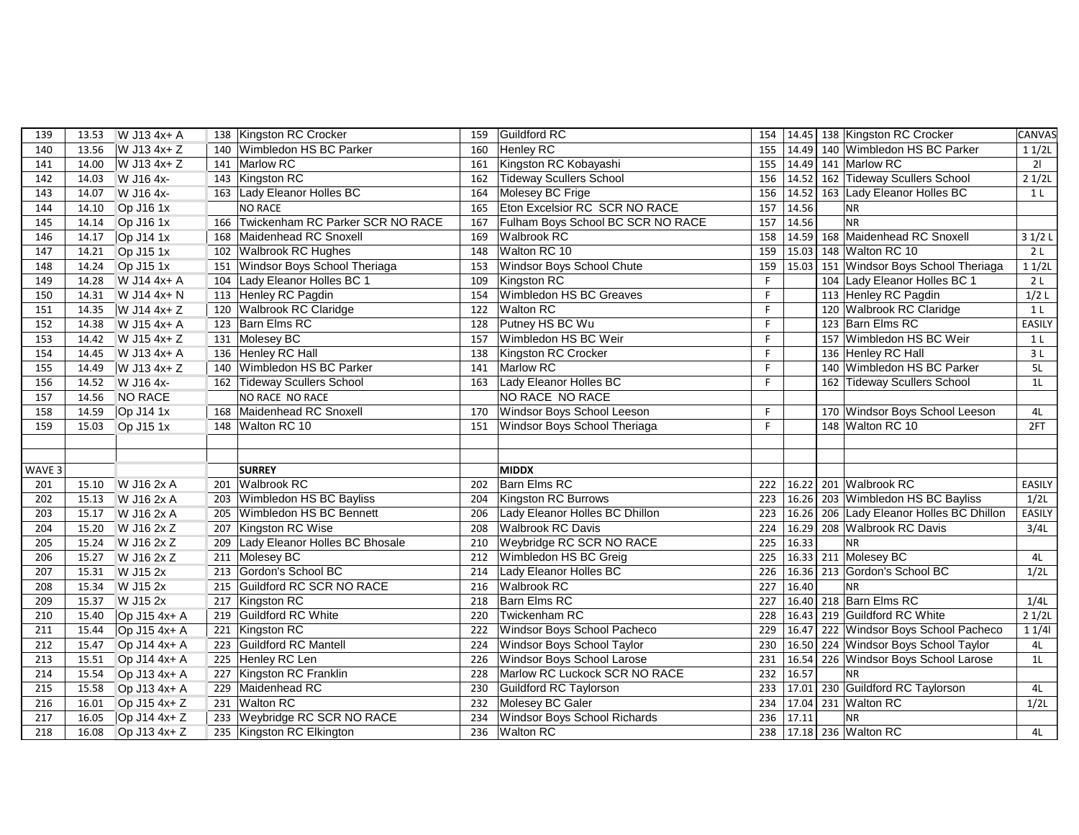| 139    | 13.53 | W J13 4x+ A            |     | 138 Kingston RC Crocker              | 159 | <b>Guildford RC</b>               | 154 |       | 14.45 138 Kingston RC Crocker          | CANVAS         |
|--------|-------|------------------------|-----|--------------------------------------|-----|-----------------------------------|-----|-------|----------------------------------------|----------------|
| 140    | 13.56 | W J13 4x+ Z            |     | 140 Wimbledon HS BC Parker           | 160 | <b>Henley RC</b>                  | 155 |       | 14.49 140 Wimbledon HS BC Parker       | 11/2L          |
| 141    | 14.00 | W J13 4x+ Z            |     | 141 Marlow RC                        | 161 | Kingston RC Kobayashi             | 155 |       | 14.49 141 Marlow RC                    | 21             |
| 142    | 14.03 | W J16 4x-              |     | 143 Kingston RC                      | 162 | <b>Tideway Scullers School</b>    | 156 |       | 14.52 162 Tideway Scullers School      | 21/2L          |
| 143    | 14.07 | W J16 4x-              |     | 163 Lady Eleanor Holles BC           | 164 | Molesey BC Frige                  | 156 | 14.52 | 163 Lady Eleanor Holles BC             | 1 <sub>L</sub> |
| 144    | 14.10 | Op J16 1x              |     | <b>NO RACE</b>                       | 165 | Eton Excelsior RC SCR NO RACE     | 157 | 14.56 | <b>NR</b>                              |                |
| 145    | 14.14 | Op J16 1x              |     | 166 Twickenham RC Parker SCR NO RACE | 167 | Fulham Boys School BC SCR NO RACE | 157 | 14.56 | <b>NR</b>                              |                |
| 146    | 14.17 | $Op$ J14 1x            | 168 | Maidenhead RC Snoxell                | 169 | Walbrook RC                       | 158 |       | 14.59 168 Maidenhead RC Snoxell        | 31/2L          |
| 147    | 14.21 | $\overline{OP}$ J15 1x |     | 102 Walbrook RC Hughes               | 148 | Walton RC 10                      | 159 |       | 15.03 148 Walton RC 10                 | 2L             |
| 148    | 14.24 | Op J15 1x              |     | 151 Windsor Boys School Theriaga     | 153 | Windsor Boys School Chute         | 159 |       | 15.03 151 Windsor Boys School Theriaga | 11/2L          |
| 149    | 14.28 | W J14 4x+ A            |     | 104 Lady Eleanor Holles BC 1         | 109 | Kingston RC                       | F.  |       | 104 Lady Eleanor Holles BC 1           | 2L             |
| 150    | 14.31 | W J14 4x+ N            |     | 113 Henley RC Pagdin                 | 154 | Wimbledon HS BC Greaves           | F   |       | 113 Henley RC Pagdin                   | $1/2$ L        |
| 151    | 14.35 | W J14 4x+ Z            |     | 120 Walbrook RC Claridge             | 122 | <b>Walton RC</b>                  | F   |       | 120 Walbrook RC Claridge               | 1 <sub>L</sub> |
| 152    | 14.38 | W J15 4x+ A            |     | 123 Barn Elms RC                     | 128 | Putney HS BC Wu                   | F   |       | 123 Barn Elms RC                       | <b>EASILY</b>  |
| 153    | 14.42 | W J15 4x+ Z            |     | 131 Molesey BC                       | 157 | Wimbledon HS BC Weir              | F   |       | 157 Wimbledon HS BC Weir               | 1 <sub>L</sub> |
| 154    | 14.45 | W J13 4x+ A            |     | 136 Henley RC Hall                   | 138 | Kingston RC Crocker               | F   |       | 136 Henley RC Hall                     | 3L             |
| 155    | 14.49 | W J13 4x+ Z            |     | 140 Wimbledon HS BC Parker           | 141 | Marlow RC                         | F   |       | 140 Wimbledon HS BC Parker             | 5L             |
| 156    | 14.52 | W J16 4x-              |     | 162 Tideway Scullers School          | 163 | Lady Eleanor Holles BC            | F   |       | 162 Tideway Scullers School            | 1 <sub>L</sub> |
| 157    | 14.56 | <b>NO RACE</b>         |     | NO RACE NO RACE                      |     | NO RACE NO RACE                   |     |       |                                        |                |
| 158    | 14.59 | Op J14 1x              |     | 168 Maidenhead RC Snoxell            | 170 | Windsor Boys School Leeson        | F.  |       | 170 Windsor Boys School Leeson         | 4L             |
| 159    | 15.03 | Op J15 1x              |     | 148 Walton RC 10                     | 151 | Windsor Boys School Theriaga      | F   |       | 148 Walton RC 10                       | 2FT            |
|        |       |                        |     |                                      |     |                                   |     |       |                                        |                |
|        |       |                        |     |                                      |     |                                   |     |       |                                        |                |
| WAVE 3 |       |                        |     | <b>SURREY</b>                        |     | <b>MIDDX</b>                      |     |       |                                        |                |
| 201    | 15.10 | W J16 2x A             |     | 201 Walbrook RC                      | 202 | <b>Barn Elms RC</b>               | 222 | 16.22 | 201 Walbrook RC                        | <b>EASILY</b>  |
| 202    | 15.13 | W J16 2x A             |     | 203 Wimbledon HS BC Bayliss          | 204 | Kingston RC Burrows               | 223 | 16.26 | 203 Wimbledon HS BC Bayliss            | 1/2L           |
| 203    | 15.17 | W J16 2x A             | 205 | Wimbledon HS BC Bennett              | 206 | Lady Eleanor Holles BC Dhillon    | 223 | 16.26 | 206 Lady Eleanor Holles BC Dhillon     | EASILY         |
| 204    | 15.20 | W J16 2x Z             |     | 207 Kingston RC Wise                 | 208 | <b>Walbrook RC Davis</b>          | 224 | 16.29 | 208 Walbrook RC Davis                  | 3/4L           |
| 205    | 15.24 | W J16 2x Z             | 209 | Lady Eleanor Holles BC Bhosale       | 210 | Weybridge RC SCR NO RACE          | 225 | 16.33 | <b>NR</b>                              |                |
| 206    | 15.27 | W J16 2x Z             |     | 211 Molesey BC                       | 212 | Wimbledon HS BC Greig             | 225 | 16.33 | 211 Molesey BC                         | 4L             |
| 207    | 15.31 | W J15 2x               |     | 213 Gordon's School BC               | 214 | Lady Eleanor Holles BC            | 226 | 16.36 | 213 Gordon's School BC                 | 1/2L           |
| 208    | 15.34 | W J15 2x               |     | 215 Guildford RC SCR NO RACE         | 216 | Walbrook RC                       | 227 | 16.40 | <b>NR</b>                              |                |
| 209    | 15.37 | W J15 2x               |     | 217 Kingston RC                      | 218 | <b>Barn Elms RC</b>               | 227 |       | 16.40 218 Barn Elms RC                 | 1/4L           |
| 210    | 15.40 | Op J15 4x+ A           |     | 219 Guildford RC White               | 220 | Twickenham RC                     | 228 | 16.43 | 219 Guildford RC White                 | 21/2L          |
| 211    | 15.44 | Op J15 4x+ A           |     | 221 Kingston RC                      | 222 | Windsor Boys School Pacheco       | 229 | 16.47 | 222 Windsor Boys School Pacheco        | 11/4           |
| 212    | 15.47 | Op J14 4x+ A           |     | 223 Guildford RC Mantell             | 224 | Windsor Boys School Taylor        | 230 |       | 16.50 224 Windsor Boys School Taylor   | 4L             |
| 213    | 15.51 | Op J14 4x+ A           |     | 225 Henley RC Len                    | 226 | Windsor Boys School Larose        | 231 | 16.54 | 226 Windsor Boys School Larose         | 1 <sub>L</sub> |
| 214    | 15.54 | Op J13 4x+ A           | 227 | Kingston RC Franklin                 | 228 | Marlow RC Luckock SCR NO RACE     | 232 | 16.57 | <b>NR</b>                              |                |
| 215    | 15.58 | Op J13 4x+ A           |     | 229 Maidenhead RC                    | 230 | Guildford RC Taylorson            | 233 | 17.01 | 230 Guildford RC Taylorson             | 4L             |
| 216    | 16.01 | Op $J15$ 4x+ Z         |     | 231 Walton RC                        | 232 | Molesey BC Galer                  | 234 | 17.04 | 231 Walton RC                          | 1/2L           |
| 217    | 16.05 | Op J14 4x+ Z           |     | 233 Weybridge RC SCR NO RACE         | 234 | Windsor Boys School Richards      | 236 | 17.11 | <b>NR</b>                              |                |
| 218    | 16.08 | Op J13 4x+ Z           |     | 235 Kingston RC Elkington            | 236 | <b>Walton RC</b>                  | 238 |       | 17.18 236 Walton RC                    | 4L             |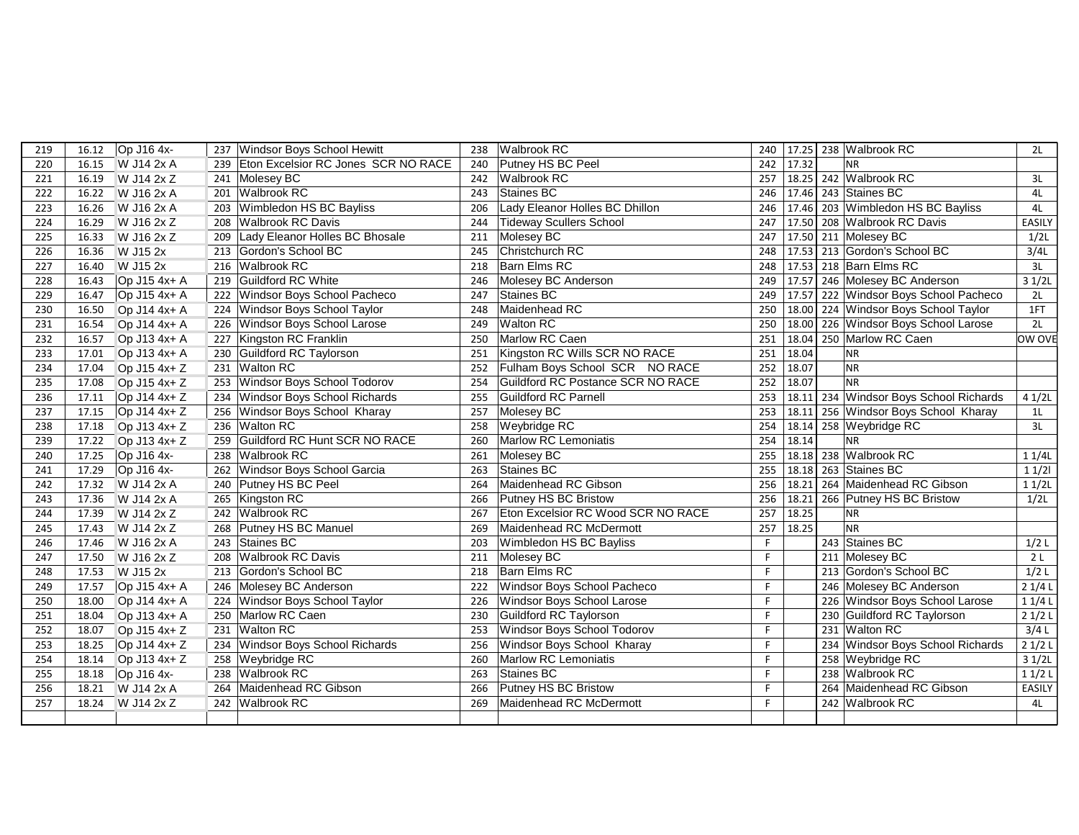| 219 | Op J16 4x-<br>16.12   | 237 Windsor Boys School Hewitt          | 238 | <b>Walbrook RC</b>                 | 240 |       | 17.25 238 Walbrook RC                  | 2L             |
|-----|-----------------------|-----------------------------------------|-----|------------------------------------|-----|-------|----------------------------------------|----------------|
| 220 | W J14 2x A<br>16.15   | 239 Eton Excelsior RC Jones SCR NO RACE | 240 | Putney HS BC Peel                  | 242 | 17.32 | <b>NR</b>                              |                |
| 221 | W J14 2x Z<br>16.19   | 241 Molesey BC                          | 242 | <b>Walbrook RC</b>                 | 257 |       | 18.25 242 Walbrook RC                  | 3L             |
| 222 | W J16 2x A<br>16.22   | 201 Walbrook RC                         | 243 | Staines BC                         | 246 |       | 17.46 243 Staines BC                   | 4L             |
| 223 | 16.26<br>W J16 2x A   | 203 Wimbledon HS BC Bayliss             | 206 | Lady Eleanor Holles BC Dhillon     | 246 |       | 17.46 203 Wimbledon HS BC Bayliss      | 4L             |
| 224 | W J16 2x Z<br>16.29   | 208 Walbrook RC Davis                   | 244 | <b>Tideway Scullers School</b>     | 247 |       | 17.50 208 Walbrook RC Davis            | <b>EASILY</b>  |
| 225 | W J16 2x Z<br>16.33   | Lady Eleanor Holles BC Bhosale<br>209   | 211 | Molesey BC                         | 247 |       | 17.50 211 Molesey BC                   | 1/2L           |
| 226 | W J15 2x<br>16.36     | 213 Gordon's School BC                  | 245 | Christchurch RC                    | 248 |       | 17.53 213 Gordon's School BC           | 3/4L           |
| 227 | W J15 2x<br>16.40     | 216 Walbrook RC                         | 218 | <b>Barn Elms RC</b>                | 248 |       | 17.53 218 Barn Elms RC                 | 3L             |
| 228 | Op J15 4x+ A<br>16.43 | 219 Guildford RC White                  | 246 | Molesey BC Anderson                | 249 |       | 17.57 246 Molesey BC Anderson          | 31/2L          |
| 229 | Op J15 4x+ A<br>16.47 | 222 Windsor Boys School Pacheco         | 247 | Staines BC                         | 249 |       | 17.57 222 Windsor Boys School Pacheco  | 2L             |
| 230 | 16.50<br>Op J14 4x+ A | 224 Windsor Boys School Taylor          | 248 | Maidenhead RC                      | 250 |       | 18.00 224 Windsor Boys School Taylor   | 1FT            |
| 231 | 16.54<br>Op J14 4x+ A | 226 Windsor Boys School Larose          | 249 | <b>Walton RC</b>                   | 250 |       | 18.00 226 Windsor Boys School Larose   | 2L             |
| 232 | Op J13 4x+ A<br>16.57 | 227 Kingston RC Franklin                | 250 | Marlow RC Caen                     | 251 | 18.04 | 250 Marlow RC Caen                     | OW OVE         |
| 233 | Op J13 4x+ A<br>17.01 | 230 Guildford RC Taylorson              | 251 | Kingston RC Wills SCR NO RACE      | 251 | 18.04 | <b>NR</b>                              |                |
| 234 | Op J15 4x+ Z<br>17.04 | 231 Walton RC                           | 252 | Fulham Boys School SCR NO RACE     | 252 | 18.07 | NR                                     |                |
| 235 | Op J15 4x+ Z<br>17.08 | 253 Windsor Boys School Todorov         | 254 | Guildford RC Postance SCR NO RACE  | 252 | 18.07 | <b>NR</b>                              |                |
| 236 | 17.11<br>Op J14 4x+ Z | 234 Windsor Boys School Richards        | 255 | Guildford RC Parnell               | 253 |       | 18.11 234 Windsor Boys School Richards | 41/2L          |
| 237 | Op J14 4x+ Z<br>17.15 | 256 Windsor Boys School Kharay          | 257 | Molesey BC                         | 253 |       | 18.11 256 Windsor Boys School Kharay   | 1 <sub>L</sub> |
| 238 | Op J13 4x+ Z<br>17.18 | 236 Walton RC                           | 258 | Weybridge RC                       | 254 |       | 18.14 258 Weybridge RC                 | 3L             |
| 239 | Op J13 4x+ Z<br>17.22 | 259 Guildford RC Hunt SCR NO RACE       | 260 | <b>Marlow RC Lemoniatis</b>        | 254 | 18.14 | <b>NR</b>                              |                |
| 240 | Op J16 4x-<br>17.25   | 238 Walbrook RC                         | 261 | Molesey BC                         | 255 |       | 18.18 238 Walbrook RC                  | 11/4L          |
| 241 | Op J16 4x-<br>17.29   | 262 Windsor Boys School Garcia          | 263 | Staines BC                         | 255 |       | 18.18 263 Staines BC                   | 11/2           |
| 242 | W J14 2x A<br>17.32   | 240 Putney HS BC Peel                   | 264 | Maidenhead RC Gibson               | 256 |       | 18.21 264 Maidenhead RC Gibson         | 11/2L          |
| 243 | W J14 2x A<br>17.36   | 265 Kingston RC                         | 266 | Putney HS BC Bristow               | 256 | 18.21 | 266 Putney HS BC Bristow               | 1/2L           |
| 244 | 17.39<br>W J14 2x Z   | 242 Walbrook RC                         | 267 | Eton Excelsior RC Wood SCR NO RACE | 257 | 18.25 | NR                                     |                |
| 245 | W J14 2x Z<br>17.43   | 268 Putney HS BC Manuel                 | 269 | Maidenhead RC McDermott            | 257 | 18.25 | NR                                     |                |
| 246 | 17.46<br>W J16 2x A   | 243 Staines BC                          | 203 | Wimbledon HS BC Bayliss            | F   |       | 243 Staines BC                         | $1/2$ L        |
| 247 | W J16 2x Z<br>17.50   | 208 Walbrook RC Davis                   | 211 | Molesey BC                         | F   |       | 211 Molesey BC                         | 2 <sub>L</sub> |
| 248 | W J15 2x<br>17.53     | 213 Gordon's School BC                  | 218 | <b>Barn Elms RC</b>                | F   |       | 213 Gordon's School BC                 | 1/2L           |
| 249 | Op J15 4x+ A<br>17.57 | 246 Molesey BC Anderson                 | 222 | Windsor Boys School Pacheco        | F   |       | 246 Molesey BC Anderson                | 21/4L          |
| 250 | 18.00<br>Op J14 4x+ A | 224 Windsor Boys School Taylor          | 226 | Windsor Boys School Larose         | F   |       | 226 Windsor Boys School Larose         | 11/4L          |
| 251 | Op J13 4x+ A<br>18.04 | 250 Marlow RC Caen                      | 230 | Guildford RC Taylorson             | F   |       | 230 Guildford RC Taylorson             | 21/2L          |
| 252 | 18.07<br>Op J15 4x+ Z | 231 Walton RC                           | 253 | Windsor Boys School Todorov        | F   |       | 231 Walton RC                          | 3/4L           |
| 253 | Op J14 4x+ Z<br>18.25 | 234 Windsor Boys School Richards        | 256 | Windsor Boys School Kharay         | F   |       | 234 Windsor Boys School Richards       | 21/2L          |
| 254 | Op J13 4x+ Z<br>18.14 | 258 Weybridge RC                        | 260 | <b>Marlow RC Lemoniatis</b>        | F   |       | 258 Weybridge RC                       | 31/2L          |
| 255 | Op J16 4x-<br>18.18   | 238 Walbrook RC                         | 263 | Staines BC                         | F   |       | 238 Walbrook RC                        | 11/2L          |
| 256 | W J14 2x A<br>18.21   | Maidenhead RC Gibson<br>264             | 266 | Putney HS BC Bristow               |     |       | 264 Maidenhead RC Gibson               | EASILY         |
| 257 | W J14 2x Z<br>18.24   | 242 Walbrook RC                         | 269 | Maidenhead RC McDermott            | F   |       | 242 Walbrook RC                        | 4L             |
|     |                       |                                         |     |                                    |     |       |                                        |                |